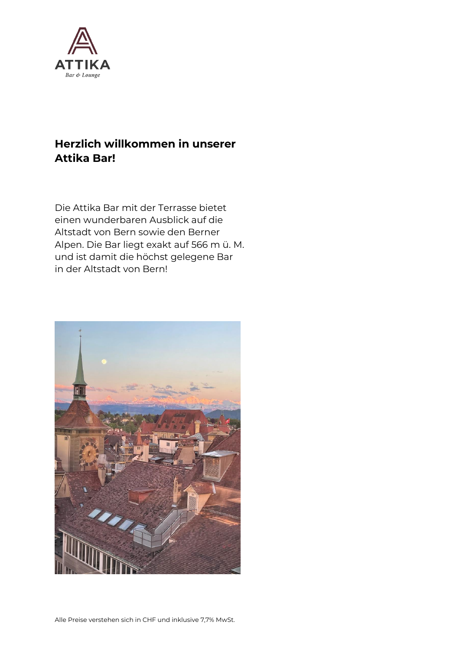

# **Herzlich willkommen in unserer Attika Bar!**

Die Attika Bar mit der Terrasse bietet einen wunderbaren Ausblick auf die Altstadt von Bern sowie den Berner Alpen. Die Bar liegt exakt auf 566 m ü. M. und ist damit die höchst gelegene Bar in der Altstadt von Bern!

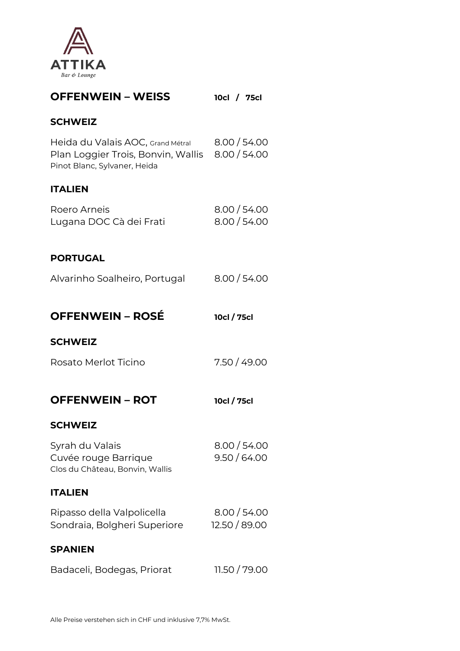

| <b>OFFENWEIN - WEISS</b>                                                                                             | 10cl / 75cl                   |
|----------------------------------------------------------------------------------------------------------------------|-------------------------------|
| <b>SCHWEIZ</b>                                                                                                       |                               |
| Heida du Valais AOC, Grand Métral<br>Plan Loggier Trois, Bonvin, Wallis 8.00 / 54.00<br>Pinot Blanc, Sylvaner, Heida | 8.00 / 54.00                  |
| <b>ITALIEN</b>                                                                                                       |                               |
| Roero Arneis<br>Lugana DOC Cà dei Frati                                                                              | 8.00 / 54.00<br>8.00 / 54.00  |
| <b>PORTUGAL</b>                                                                                                      |                               |
| Alvarinho Soalheiro, Portugal                                                                                        | 8.00 / 54.00                  |
| <b>OFFENWEIN - ROSÉ</b>                                                                                              | 10cl / 75cl                   |
| <b>SCHWEIZ</b>                                                                                                       |                               |
| Rosato Merlot Ticino                                                                                                 | 7.50 / 49.00                  |
| <b>OFFENWEIN - ROT</b>                                                                                               | 10cl / 75cl                   |
| <b>SCHWEIZ</b>                                                                                                       |                               |
| Syrah du Valais<br>Cuvée rouge Barrique<br>Clos du Château, Bonvin, Wallis                                           | 8.00 / 54.00<br>9.50 / 64.00  |
| <b>ITALIEN</b>                                                                                                       |                               |
| Ripasso della Valpolicella<br>Sondraia, Bolgheri Superiore                                                           | 8.00 / 54.00<br>12.50 / 89.00 |
| <b>SPANIEN</b>                                                                                                       |                               |
| Badaceli, Bodegas, Priorat                                                                                           | 11.50 / 79.00                 |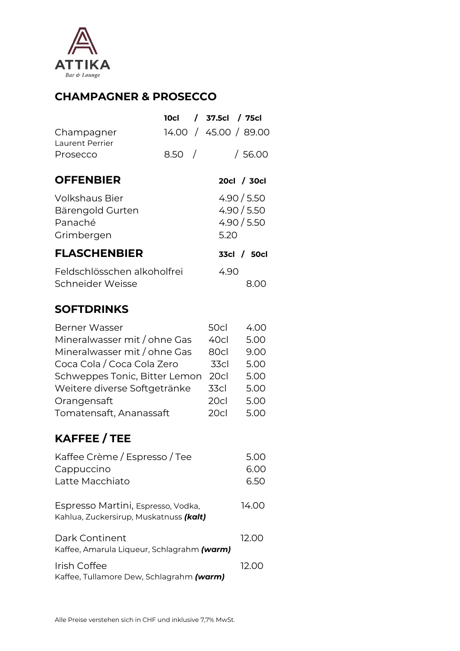

# **CHAMPAGNER & PROSECCO**

|                                                                                                                                                                                                                               | <b>10cl</b> |            | / 37.5cl / 75cl                                              |                                                              |
|-------------------------------------------------------------------------------------------------------------------------------------------------------------------------------------------------------------------------------|-------------|------------|--------------------------------------------------------------|--------------------------------------------------------------|
| Champagner                                                                                                                                                                                                                    |             |            |                                                              | 14.00 / 45.00 / 89.00                                        |
| Laurent Perrier<br>Prosecco                                                                                                                                                                                                   | 8.50        | $\sqrt{ }$ |                                                              | /56.00                                                       |
| <b>OFFENBIER</b>                                                                                                                                                                                                              |             |            |                                                              | 20cl / 30cl                                                  |
| <b>Volkshaus Bier</b><br>Bärengold Gurten<br>Panaché<br>Grimbergen                                                                                                                                                            |             |            | 5.20                                                         | 4.90 / 5.50<br>4.90 / 5.50<br>4.90 / 5.50                    |
| <b>FLASCHENBIER</b>                                                                                                                                                                                                           |             |            |                                                              | 33cl / 50cl                                                  |
| Feldschlösschen alkoholfrei                                                                                                                                                                                                   |             |            | 4.90                                                         |                                                              |
| Schneider Weisse                                                                                                                                                                                                              |             |            |                                                              | 8.00                                                         |
| <b>SOFTDRINKS</b>                                                                                                                                                                                                             |             |            |                                                              |                                                              |
| <b>Berner Wasser</b><br>Mineralwasser mit / ohne Gas<br>Mineralwasser mit / ohne Gas<br>Coca Cola / Coca Cola Zero<br>Schweppes Tonic, Bitter Lemon<br>Weitere diverse Softgetränke<br>Orangensaft<br>Tomatensaft, Ananassaft |             |            | 50cl<br>40cl<br>80cl<br>33cl<br>20cl<br>33cl<br>20cl<br>20cl | 4.00<br>5.00<br>9.00<br>5.00<br>5.00<br>5.00<br>5.00<br>5.00 |
| <b>KAFFEE / TEE</b>                                                                                                                                                                                                           |             |            |                                                              |                                                              |
| Kaffee Crème / Espresso / Tee<br>Cappuccino<br>Latte Macchiato                                                                                                                                                                |             |            |                                                              | 5.00<br>6.00<br>6.50                                         |
| Espresso Martini, Espresso, Vodka,<br>Kahlua, Zuckersirup, Muskatnuss (kalt)                                                                                                                                                  |             |            |                                                              | 14.00                                                        |
| Dark Continent<br>Kaffee, Amarula Liqueur, Schlagrahm (warm)                                                                                                                                                                  |             |            |                                                              | 12.00                                                        |
| Irish Coffee<br>Kaffee, Tullamore Dew, Schlagrahm (warm)                                                                                                                                                                      |             |            |                                                              | 12.00                                                        |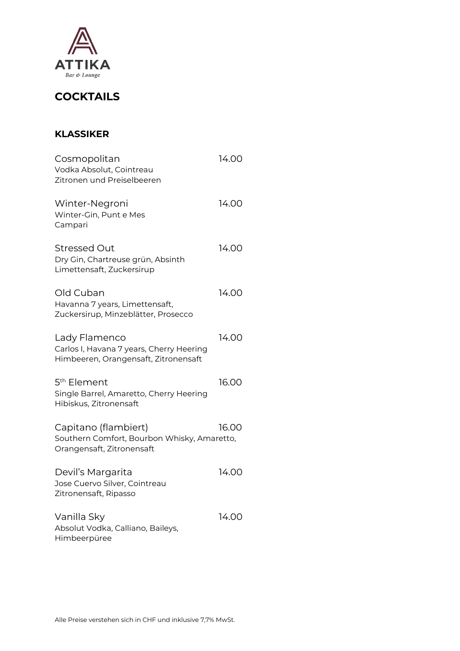

# **COCKTAILS**

#### **KLASSIKER**

| Cosmopolitan<br>Vodka Absolut, Cointreau<br>Zitronen und Preiselbeeren                            | 14.00 |
|---------------------------------------------------------------------------------------------------|-------|
| Winter-Negroni<br>Winter-Gin, Punt e Mes<br>Campari                                               | 14.00 |
| Stressed Out<br>Dry Gin, Chartreuse grün, Absinth<br>Limettensaft, Zuckersirup                    | 14.00 |
| Old Cuban<br>Havanna 7 years, Limettensaft,<br>Zuckersirup, Minzeblätter, Prosecco                | 14.00 |
| Lady Flamenco<br>Carlos I, Havana 7 years, Cherry Heering<br>Himbeeren, Orangensaft, Zitronensaft | 14.00 |
| 5 <sup>th</sup> Element<br>Single Barrel, Amaretto, Cherry Heering<br>Hibiskus, Zitronensaft      | 16.00 |
| Capitano (flambiert)<br>Southern Comfort, Bourbon Whisky, Amaretto,<br>Orangensaft, Zitronensaft  | 16.00 |
| Devil's Margarita<br>Jose Cuervo Silver, Cointreau<br>Zitronensaft, Ripasso                       | 14.00 |
| Vanilla Sky<br>Absolut Vodka, Calliano, Baileys,<br>Himbeerpüree                                  | 14.00 |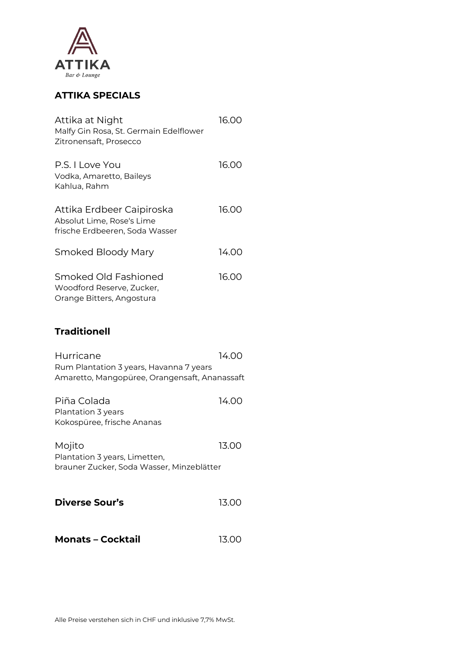

### **ATTIKA SPECIALS**

| Attika at Night<br>Malfy Gin Rosa, St. Germain Edelflower<br>Zitronensaft, Prosecco      | 16.00 |
|------------------------------------------------------------------------------------------|-------|
| P.S. I Love You<br>Vodka, Amaretto, Baileys<br>Kahlua, Rahm                              | 16.00 |
| Attika Erdbeer Caipiroska<br>Absolut Lime, Rose's Lime<br>frische Erdbeeren, Soda Wasser | 16.00 |
| Smoked Bloody Mary                                                                       | 14.00 |
| Smoked Old Fashioned<br>Woodford Reserve, Zucker,<br>Orange Bitters, Angostura           | 16.00 |

### **Traditionell**

| Hurricane                                                                                | 14.OO |
|------------------------------------------------------------------------------------------|-------|
| Rum Plantation 3 years, Havanna 7 years<br>Amaretto, Mangopüree, Orangensaft, Ananassaft |       |
| Piña Colada                                                                              | 14.OO |
| Plantation 3 years                                                                       |       |
| Kokospüree, frische Ananas                                                               |       |
| Mojito<br>Plantation 3 years, Limetten,<br>brauner Zucker, Soda Wasser, Minzeblätter     | 13.00 |
| Diverse Sour's                                                                           | 13.00 |
| <b>Monats - Cocktail</b>                                                                 | 13.00 |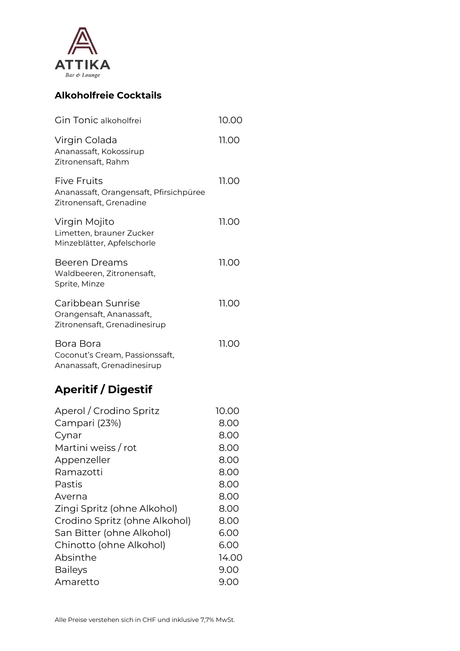

## **Alkoholfreie Cocktails**

| Gin Tonic alkoholfrei                                                                                                                                                                                                                                        | 10.00                                                                                                  |
|--------------------------------------------------------------------------------------------------------------------------------------------------------------------------------------------------------------------------------------------------------------|--------------------------------------------------------------------------------------------------------|
| Virgin Colada<br>Ananassaft, Kokossirup<br>Zitronensaft, Rahm                                                                                                                                                                                                | 11.00                                                                                                  |
| <b>Five Fruits</b><br>Ananassaft, Orangensaft, Pfirsichpüree<br>Zitronensaft, Grenadine                                                                                                                                                                      | 11.00                                                                                                  |
| Virgin Mojito<br>Limetten, brauner Zucker<br>Minzeblätter, Apfelschorle                                                                                                                                                                                      | 11.00                                                                                                  |
| <b>Beeren Dreams</b><br>Waldbeeren, Zitronensaft,<br>Sprite, Minze                                                                                                                                                                                           | 11.00                                                                                                  |
| Caribbean Sunrise<br>Orangensaft, Ananassaft,<br>Zitronensaft, Grenadinesirup                                                                                                                                                                                | 11.00                                                                                                  |
| Bora Bora<br>Coconut's Cream, Passionssaft,<br>Ananassaft, Grenadinesirup                                                                                                                                                                                    | 11.00                                                                                                  |
| <b>Aperitif / Digestif</b>                                                                                                                                                                                                                                   |                                                                                                        |
| Aperol / Crodino Spritz<br>Campari (23%)<br>Cynar<br>Martini weiss / rot<br>Appenzeller<br>Ramazotti<br>Pastis<br>Averna<br>Zingi Spritz (ohne Alkohol)<br>Crodino Spritz (ohne Alkohol)<br>San Bitter (ohne Alkohol)<br>Chinotto (ohne Alkohol)<br>Absinthe | 10.00<br>8.00<br>8.00<br>8.00<br>8.00<br>8.00<br>8.00<br>8.00<br>8.00<br>8.00<br>6.00<br>6.00<br>14.00 |

Baileys 9.00 Amaretto 9.00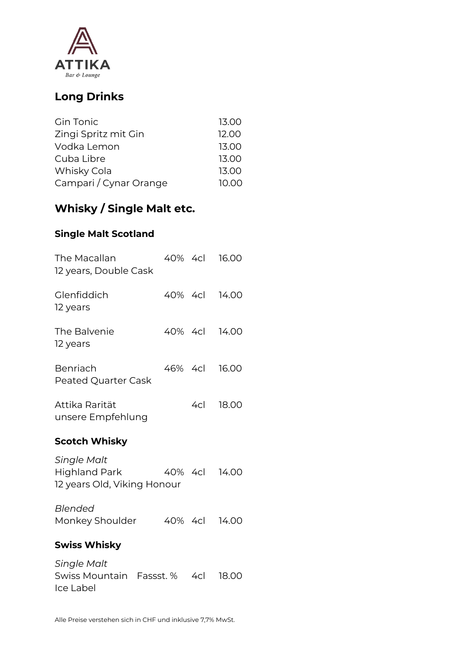

# **Long Drinks**

| 13.00 |
|-------|
| 12.00 |
| 13.00 |
| 13.00 |
| 13.00 |
| 10.00 |
|       |

# **Whisky / Single Malt etc.**

#### **Single Malt Scotland**

| The Macallan<br>12 years, Double Cask                                     |           | 40% 4cl | 16.00         |
|---------------------------------------------------------------------------|-----------|---------|---------------|
| Glenfiddich<br>12 years                                                   |           |         | 40% 4cl 14.00 |
| The Balvenie<br>12 years                                                  |           | 40% 4cl | 14.00         |
| Benriach<br><b>Peated Quarter Cask</b>                                    |           | 46% 4cl | 16.00         |
| Attika Rarität<br>unsere Empfehlung                                       |           |         | 4cl 18.00     |
| <b>Scotch Whisky</b>                                                      |           |         |               |
| <b>Single Malt</b><br><b>Highland Park</b><br>12 years Old, Viking Honour |           | 40% 4cl | 14.00         |
| Blended<br>Monkey Shoulder                                                |           | 40% 4cl | 14.00         |
| <b>Swiss Whisky</b>                                                       |           |         |               |
| <b>Single Malt</b><br>Swiss Mountain                                      | Fassst. % | 4cl     | 18.00         |

Ice Label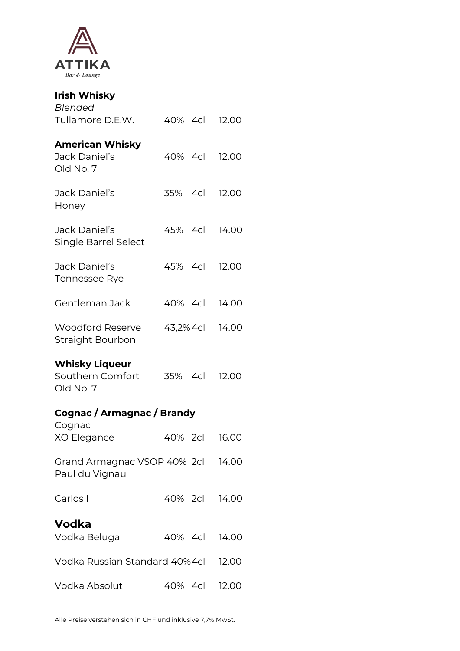

| <b>Irish Whisky</b>                                    |               |       |
|--------------------------------------------------------|---------------|-------|
| Blended<br>Tullamore D.E.W.                            | 40% 4cl 12.00 |       |
| <b>American Whisky</b><br>Jack Daniel's<br>Old No. 7   | 40% 4cl 12.00 |       |
| Jack Daniel's<br>Honey                                 | 35% 4cl 12.00 |       |
| Jack Daniel's<br>Single Barrel Select                  | 45% 4cl 14.00 |       |
| Jack Daniel's<br>Tennessee Rye                         | 45% 4cl       | 12.00 |
| Gentleman Jack                                         | 40% 4cl       | 14.00 |
| <b>Woodford Reserve</b><br>Straight Bourbon            | 43,2% 4cl     | 14.00 |
| <b>Whisky Liqueur</b><br>Southern Comfort<br>Old No. 7 | 35% 4cl       | 12.00 |
| Cognac / Armagnac / Brandy                             |               |       |
| Cognac<br>XO Elegance                                  | 40% 2cl 16.00 |       |
| Grand Armagnac VSOP 40% 2cl 14.00<br>Paul du Vignau    |               |       |
| Carlos I                                               | 40% 2cl 14.00 |       |
| Vodka<br>Vodka Beluga                                  | 40% 4cl       | 14.00 |
| Vodka Russian Standard 40%4cl                          |               | 12.00 |
| Vodka Absolut                                          | 40% 4cl       | 12.00 |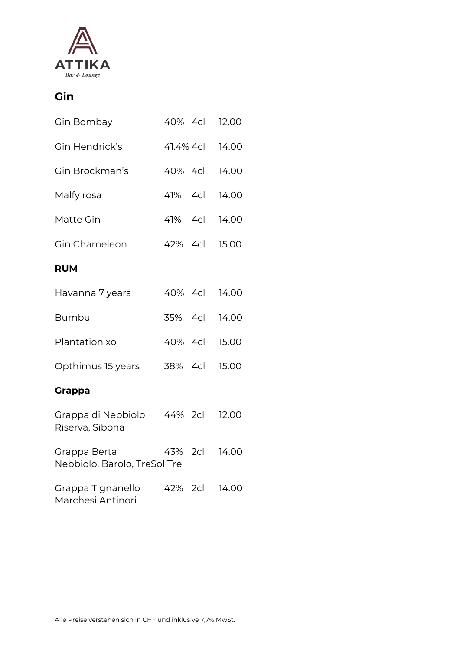

# **Gin**

| Gin Bombay                                    | 40% 4cl   | 12.00 |
|-----------------------------------------------|-----------|-------|
| Gin Hendrick's                                | 41.4% 4cl | 14.00 |
| Gin Brockman's                                | 40% 4cl   | 14.00 |
| Malfy rosa                                    | 41% 4cl   | 14.00 |
| Matte Gin                                     | 41% 4cl   | 14.00 |
| Gin Chameleon                                 | 42% 4cl   | 15.00 |
| <b>RUM</b>                                    |           |       |
| Havanna 7 years                               | 40% 4cl   | 14.00 |
| <b>Bumbu</b>                                  | 35% 4cl   | 14.00 |
| Plantation xo                                 | 40% 4cl   | 15.00 |
| Opthimus 15 years                             | 38% 4cl   | 15.00 |
| <b>Grappa</b>                                 |           |       |
| Grappa di Nebbiolo 44% 2cl<br>Riserva, Sibona |           | 12.00 |
| Grappa Berta<br>Nebbiolo, Barolo, TreSoliTre  | 43% 2cl   | 14.00 |
| Grappa Tignanello<br>Marchesi Antinori        | 42% 2cl   | 14.00 |